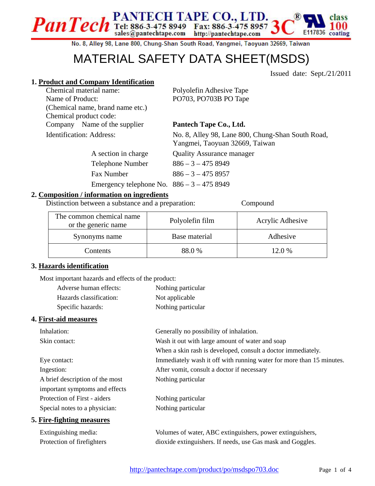No. 8, Alley 98, Lane 800, Chung-Shan South Road, Yangmei, Taoyuan 32669, Taiwan

## MATERIAL SAFETY DATA SHEET(MSDS)

Issued date: Sept./21/2011

E117836

#### **1. Product and Company Identification**

Chemical material name: Polyolefin Adhesive Tape Name of Product: PO703, PO703B PO Tape (Chemical name, brand name etc.) Chemical product code: Company Name of the supplier **Pantech Tape Co., Ltd.** 

Identification: Address: No. 8, Alley 98, Lane 800, Chung-Shan South Road, Yangmei, Taoyuan 32669, Taiwan

A section in charge Quality Assurance manager

Telephone Number  $886 - 3 - 4758949$ 

Fax Number 886 – 3 – 475 8957

### Emergency telephone No. 886 – 3 – 475 8949

PanTech Tel: 886-3-475 8949 Fax: 886-3-475 8957

#### **2. Composition / information on ingredients**

Distinction between a substance and a preparation: Compound

| The common chemical name<br>or the generic name | Polyolefin film | Acrylic Adhesive |
|-------------------------------------------------|-----------------|------------------|
| Synonyms name                                   | Base material   | Adhesive         |
| Contents                                        | 88.0 %          | 12.0%            |

#### **3. Hazards identification**

Most important hazards and effects of the product:

| Adverse human effects:  | Nothing particular |
|-------------------------|--------------------|
| Hazards classification: | Not applicable     |
| Specific hazards:       | Nothing particular |

#### **4. First-aid measures**

| Inhalation:                                                       | Generally no possibility of inhalation.                                                                                                |
|-------------------------------------------------------------------|----------------------------------------------------------------------------------------------------------------------------------------|
| Skin contact:                                                     | Wash it out with large amount of water and soap                                                                                        |
|                                                                   | When a skin rash is developed, consult a doctor immediately.                                                                           |
| Eye contact:                                                      | Immediately wash it off with running water for more than 15 minutes.                                                                   |
| Ingestion:                                                        | After vomit, consult a doctor if necessary                                                                                             |
| A brief description of the most                                   | Nothing particular                                                                                                                     |
| important symptoms and effects                                    |                                                                                                                                        |
| Protection of First - aiders                                      | Nothing particular                                                                                                                     |
| Special notes to a physician:                                     | Nothing particular                                                                                                                     |
| 5. Fire-fighting measures                                         |                                                                                                                                        |
| $\Gamma$ and are according to the contract of the set of $\Gamma$ | $\mathbf{V}_{\alpha}$ becomes a function $\mathbf{A} \mathbf{D} \mathbf{C}$ and in evolutions in a second surface and all $\mathbf{A}$ |

Extinguishing media: Volumes of water, ABC extinguishers, power extinguishers, Protection of firefighters dioxide extinguishers. If needs, use Gas mask and Goggles.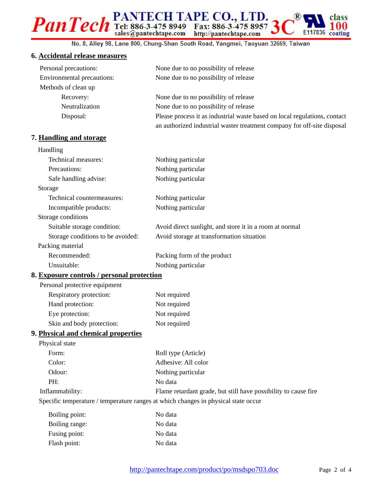# PanTech Tel: 886-3-475 8949 Fax: 886-3-475 8957 E117836 coating

No. 8, Alley 98, Lane 800, Chung-Shan South Road, Yangmei, Taoyuan 32669, Taiwan

#### **6. Accidental release measures**

| Personal precautions:      | None due to no possibility of release                                     |
|----------------------------|---------------------------------------------------------------------------|
| Environmental precautions: | None due to no possibility of release                                     |
| Methods of clean up        |                                                                           |
| Recovery:                  | None due to no possibility of release                                     |
| Neutralization             | None due to no possibility of release                                     |
| Disposal:                  | Please process it as industrial waste based on local regulations, contact |
|                            | an authorized industrial waster treatment company for off-site disposal   |

#### **7. Handling and storage**

| Handling                          |                                                         |
|-----------------------------------|---------------------------------------------------------|
| Technical measures:               | Nothing particular                                      |
| Precautions:                      | Nothing particular                                      |
| Safe handling advise:             | Nothing particular                                      |
| Storage                           |                                                         |
| Technical countermeasures:        | Nothing particular                                      |
| Incompatible products:            | Nothing particular                                      |
| Storage conditions                |                                                         |
| Suitable storage condition:       | Avoid direct sunlight, and store it in a room at normal |
| Storage conditions to be avoided: | Avoid storage at transformation situation               |
| Packing material                  |                                                         |
| Recommended:                      | Packing form of the product                             |
| Unsuitable:                       | Nothing particular                                      |

#### **8. Exposure controls / personal protection**

| Personal protective equipment |              |
|-------------------------------|--------------|
| Respiratory protection:       | Not required |
| Hand protection:              | Not required |
| Eye protection:               | Not required |
| Skin and body protection:     | Not required |

#### **9. Physical and chemical properties**

| Physical state                                                                     |                                                                 |
|------------------------------------------------------------------------------------|-----------------------------------------------------------------|
| Form:                                                                              | Roll type (Article)                                             |
| Color:                                                                             | Adhesive: All color                                             |
| Odour:                                                                             | Nothing particular                                              |
| PH:                                                                                | No data                                                         |
| Inflammability:                                                                    | Flame retardant grade, but still have possibility to cause fire |
| Specific temperature / temperature ranges at which changes in physical state occur |                                                                 |

| Boiling point: | No data |
|----------------|---------|
| Boiling range: | No data |
| Fusing point:  | No data |
| Flash point:   | No data |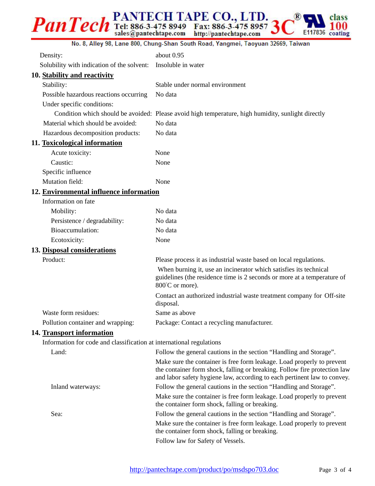#### PanTech Tel: 886-3-475 8949 Fax: 886-3-475 8957 R class E117836 coating

#### No. 8, Alley 98, Lane 800, Chung-Shan South Road, Yangmei, Taoyuan 32669, Taiwan

| Density:                                                             | about 0.95                                                                                                                                                                                                                      |
|----------------------------------------------------------------------|---------------------------------------------------------------------------------------------------------------------------------------------------------------------------------------------------------------------------------|
| Solubility with indication of the solvent:                           | Insoluble in water                                                                                                                                                                                                              |
| 10. Stability and reactivity                                         |                                                                                                                                                                                                                                 |
| Stability:                                                           | Stable under normal environment                                                                                                                                                                                                 |
| Possible hazardous reactions occurring                               | No data                                                                                                                                                                                                                         |
| Under specific conditions:                                           |                                                                                                                                                                                                                                 |
|                                                                      | Condition which should be avoided: Please avoid high temperature, high humidity, sunlight directly                                                                                                                              |
| Material which should be avoided:                                    | No data                                                                                                                                                                                                                         |
| Hazardous decomposition products:                                    | No data                                                                                                                                                                                                                         |
| 11. Toxicological information                                        |                                                                                                                                                                                                                                 |
| Acute toxicity:                                                      | None                                                                                                                                                                                                                            |
| Caustic:                                                             | None                                                                                                                                                                                                                            |
| Specific influence                                                   |                                                                                                                                                                                                                                 |
| <b>Mutation field:</b>                                               | None                                                                                                                                                                                                                            |
| 12. Environmental influence information                              |                                                                                                                                                                                                                                 |
| Information on fate                                                  |                                                                                                                                                                                                                                 |
| Mobility:                                                            | No data                                                                                                                                                                                                                         |
| Persistence / degradability:                                         | No data                                                                                                                                                                                                                         |
| Bioaccumulation:                                                     | No data                                                                                                                                                                                                                         |
| Ecotoxicity:                                                         | None                                                                                                                                                                                                                            |
| 13. Disposal considerations                                          |                                                                                                                                                                                                                                 |
| Product:                                                             | Please process it as industrial waste based on local regulations.                                                                                                                                                               |
|                                                                      | When burning it, use an incinerator which satisfies its technical<br>guidelines (the residence time is 2 seconds or more at a temperature of<br>800°C or more).                                                                 |
|                                                                      | Contact an authorized industrial waste treatment company for Off-site<br>disposal.                                                                                                                                              |
| Waste form residues:                                                 | Same as above                                                                                                                                                                                                                   |
| Pollution container and wrapping:                                    | Package: Contact a recycling manufacturer.                                                                                                                                                                                      |
| 14. Transport information                                            |                                                                                                                                                                                                                                 |
| Information for code and classification at international regulations |                                                                                                                                                                                                                                 |
| Land:                                                                | Follow the general cautions in the section "Handling and Storage".                                                                                                                                                              |
|                                                                      | Make sure the container is free form leakage. Load properly to prevent<br>the container form shock, falling or breaking. Follow fire protection law<br>and labor safety hygiene law, according to each pertinent law to convey. |
| Inland waterways:                                                    | Follow the general cautions in the section "Handling and Storage".<br>Make sure the container is free form leakage. Load properly to prevent<br>the container form shock, falling or breaking.                                  |
| Sea:                                                                 | Follow the general cautions in the section "Handling and Storage".                                                                                                                                                              |
|                                                                      | Make sure the container is free form leakage. Load properly to prevent<br>the container form shock, falling or breaking.<br>Follow law for Safety of Vessels.                                                                   |
|                                                                      |                                                                                                                                                                                                                                 |